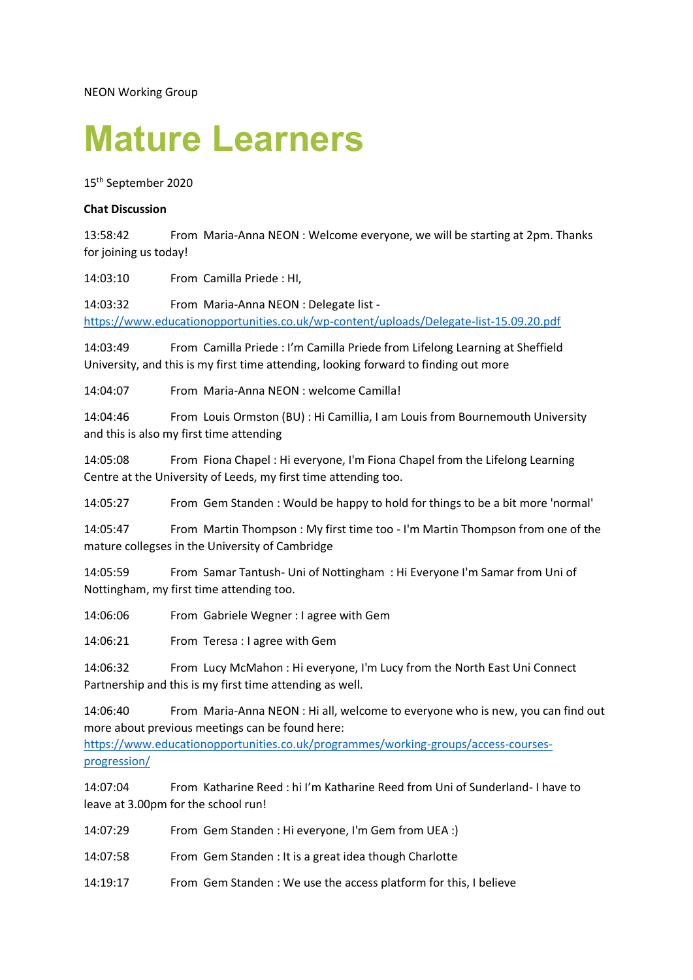NEON Working Group

## **Mature Learners**

15 th September 2020

## **Chat Discussion**

13:58:42 From Maria-Anna NEON : Welcome everyone, we will be starting at 2pm. Thanks for joining us today!

14:03:10 From Camilla Priede : HI,

14:03:32 From Maria-Anna NEON : Delegate list <https://www.educationopportunities.co.uk/wp-content/uploads/Delegate-list-15.09.20.pdf>

14:03:49 From Camilla Priede : I'm Camilla Priede from Lifelong Learning at Sheffield University, and this is my first time attending, looking forward to finding out more

14:04:07 From Maria-Anna NEON : welcome Camilla!

14:04:46 From Louis Ormston (BU) : Hi Camillia, I am Louis from Bournemouth University and this is also my first time attending

14:05:08 From Fiona Chapel : Hi everyone, I'm Fiona Chapel from the Lifelong Learning Centre at the University of Leeds, my first time attending too.

14:05:27 From Gem Standen : Would be happy to hold for things to be a bit more 'normal'

14:05:47 From Martin Thompson : My first time too - I'm Martin Thompson from one of the mature collegses in the University of Cambridge

14:05:59 From Samar Tantush- Uni of Nottingham : Hi Everyone I'm Samar from Uni of Nottingham, my first time attending too.

14:06:06 From Gabriele Wegner : I agree with Gem

14:06:21 From Teresa : I agree with Gem

14:06:32 From Lucy McMahon : Hi everyone, I'm Lucy from the North East Uni Connect Partnership and this is my first time attending as well.

14:06:40 From Maria-Anna NEON : Hi all, welcome to everyone who is new, you can find out more about previous meetings can be found here:

[https://www.educationopportunities.co.uk/programmes/working-groups/access-courses](https://www.educationopportunities.co.uk/programmes/working-groups/access-courses-progression/)[progression/](https://www.educationopportunities.co.uk/programmes/working-groups/access-courses-progression/)

14:07:04 From Katharine Reed : hi I'm Katharine Reed from Uni of Sunderland- I have to leave at 3.00pm for the school run!

14:07:29 From Gem Standen : Hi everyone, I'm Gem from UEA :)

14:07:58 From Gem Standen : It is a great idea though Charlotte

14:19:17 From Gem Standen : We use the access platform for this, I believe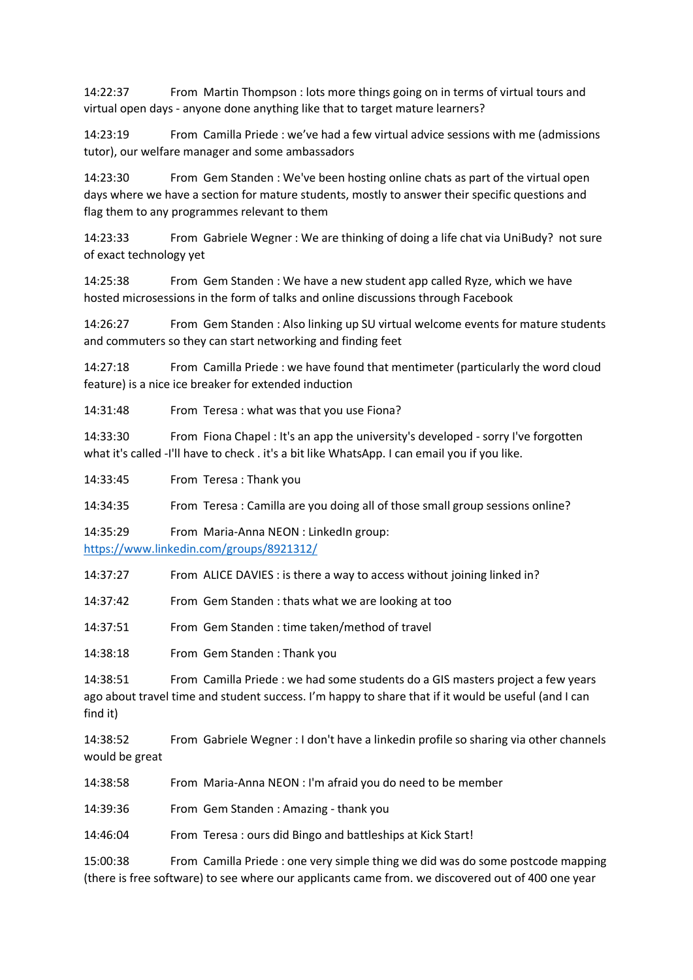14:22:37 From Martin Thompson : lots more things going on in terms of virtual tours and virtual open days - anyone done anything like that to target mature learners?

14:23:19 From Camilla Priede : we've had a few virtual advice sessions with me (admissions tutor), our welfare manager and some ambassadors

14:23:30 From Gem Standen : We've been hosting online chats as part of the virtual open days where we have a section for mature students, mostly to answer their specific questions and flag them to any programmes relevant to them

14:23:33 From Gabriele Wegner : We are thinking of doing a life chat via UniBudy? not sure of exact technology yet

14:25:38 From Gem Standen : We have a new student app called Ryze, which we have hosted microsessions in the form of talks and online discussions through Facebook

14:26:27 From Gem Standen : Also linking up SU virtual welcome events for mature students and commuters so they can start networking and finding feet

14:27:18 From Camilla Priede : we have found that mentimeter (particularly the word cloud feature) is a nice ice breaker for extended induction

14:31:48 From Teresa : what was that you use Fiona?

14:33:30 From Fiona Chapel : It's an app the university's developed - sorry I've forgotten what it's called -I'll have to check . it's a bit like WhatsApp. I can email you if you like.

14:33:45 From Teresa : Thank you

14:34:35 From Teresa : Camilla are you doing all of those small group sessions online?

14:35:29 From Maria-Anna NEON : LinkedIn group: <https://www.linkedin.com/groups/8921312/>

14:37:27 From ALICE DAVIES : is there a way to access without joining linked in?

14:37:42 From Gem Standen : thats what we are looking at too

14:37:51 From Gem Standen : time taken/method of travel

14:38:18 From Gem Standen : Thank you

14:38:51 From Camilla Priede : we had some students do a GIS masters project a few years ago about travel time and student success. I'm happy to share that if it would be useful (and I can find it)

14:38:52 From Gabriele Wegner : I don't have a linkedin profile so sharing via other channels would be great

14:38:58 From Maria-Anna NEON : I'm afraid you do need to be member

14:39:36 From Gem Standen : Amazing - thank you

14:46:04 From Teresa : ours did Bingo and battleships at Kick Start!

15:00:38 From Camilla Priede : one very simple thing we did was do some postcode mapping (there is free software) to see where our applicants came from. we discovered out of 400 one year